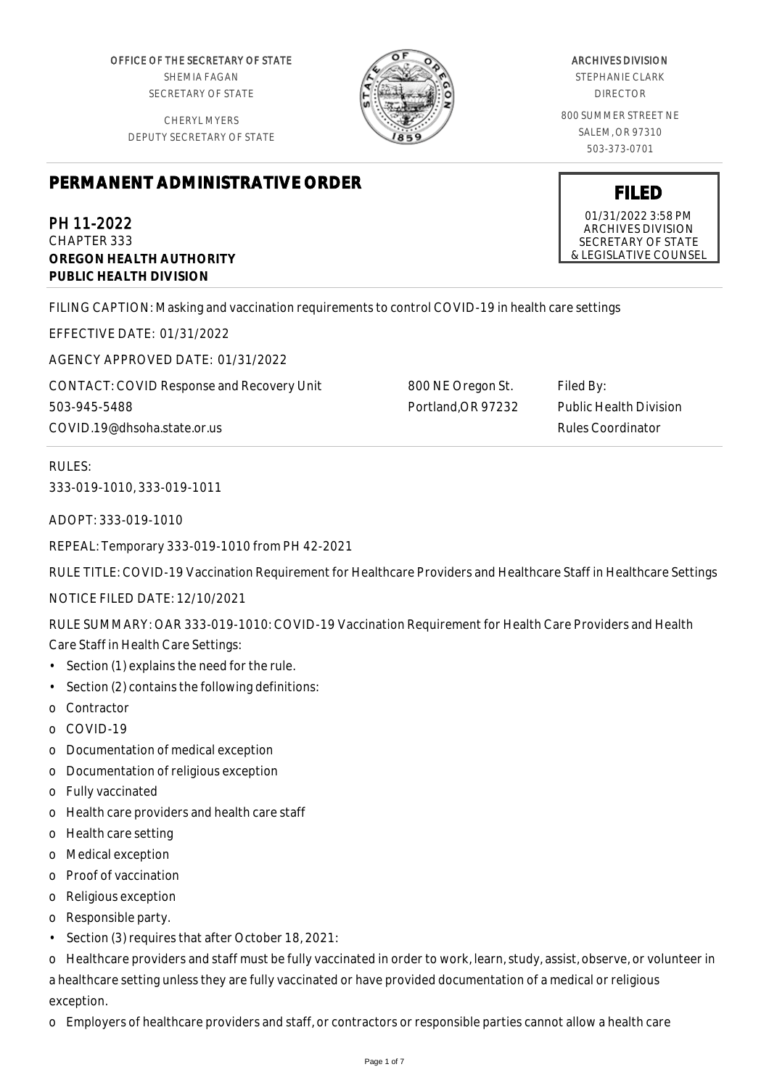OFFICE OF THE SECRETARY OF STATE SHEMIA FAGAN SECRETARY OF STATE

CHERYL MYERS DEPUTY SECRETARY OF STATE



800 NE Oregon St. Portland,OR 97232

#### ARCHIVES DIVISION

STEPHANIE CLARK DIRECTOR

800 SUMMER STREET NE SALEM, OR 97310 503-373-0701

# **PERMANENT ADMINISTRATIVE ORDER**

PH 11-2022 CHAPTER 333 **OREGON HEALTH AUTHORITY PUBLIC HEALTH DIVISION**

FILING CAPTION: Masking and vaccination requirements to control COVID-19 in health care settings

EFFECTIVE DATE: 01/31/2022

AGENCY APPROVED DATE: 01/31/2022

CONTACT: COVID Response and Recovery Unit 503-945-5488 COVID.19@dhsoha.state.or.us

RULES: 333-019-1010, 333-019-1011

ADOPT: 333-019-1010

REPEAL: Temporary 333-019-1010 from PH 42-2021

RULE TITLE: COVID-19 Vaccination Requirement for Healthcare Providers and Healthcare Staff in Healthcare Settings

NOTICE FILED DATE: 12/10/2021

RULE SUMMARY: OAR 333-019-1010: COVID-19 Vaccination Requirement for Health Care Providers and Health

Care Staff in Health Care Settings:

- Section (1) explains the need for the rule.
- Section (2) contains the following definitions:
- o Contractor
- o COVID-19
- o Documentation of medical exception
- o Documentation of religious exception
- o Fully vaccinated
- o Health care providers and health care staff
- o Health care setting
- o Medical exception
- o Proof of vaccination
- o Religious exception
- o Responsible party.
- Section (3) requires that after October 18, 2021:

o Healthcare providers and staff must be fully vaccinated in order to work, learn, study, assist, observe, or volunteer in a healthcare setting unless they are fully vaccinated or have provided documentation of a medical or religious exception.

o Employers of healthcare providers and staff, or contractors or responsible parties cannot allow a health care

01/31/2022 3:58 PM ARCHIVES DIVISION SECRETARY OF STATE & LEGISLATIVE COUNSEL

Filed By:

Public Health Division Rules Coordinator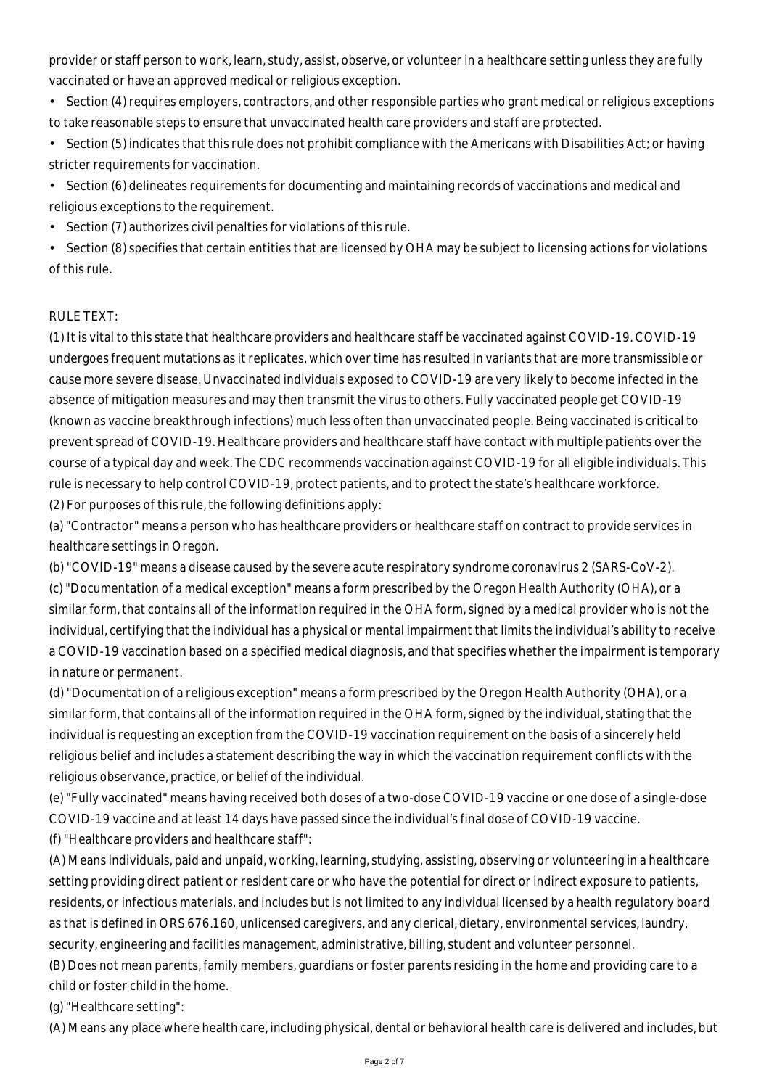provider or staff person to work, learn, study, assist, observe, or volunteer in a healthcare setting unless they are fully vaccinated or have an approved medical or religious exception.

- Section (4) requires employers, contractors, and other responsible parties who grant medical or religious exceptions to take reasonable steps to ensure that unvaccinated health care providers and staff are protected.
- Section (5) indicates that this rule does not prohibit compliance with the Americans with Disabilities Act; or having stricter requirements for vaccination.
- Section (6) delineates requirements for documenting and maintaining records of vaccinations and medical and religious exceptions to the requirement.
- Section (7) authorizes civil penalties for violations of this rule.
- Section (8) specifies that certain entities that are licensed by OHA may be subject to licensing actions for violations of this rule.

## RULE TEXT:

(1) It is vital to this state that healthcare providers and healthcare staff be vaccinated against COVID-19. COVID-19 undergoes frequent mutations as it replicates, which over time has resulted in variants that are more transmissible or cause more severe disease. Unvaccinated individuals exposed to COVID-19 are very likely to become infected in the absence of mitigation measures and may then transmit the virus to others. Fully vaccinated people get COVID-19 (known as vaccine breakthrough infections) much less often than unvaccinated people. Being vaccinated is critical to prevent spread of COVID-19. Healthcare providers and healthcare staff have contact with multiple patients over the course of a typical day and week. The CDC recommends vaccination against COVID-19 for all eligible individuals. This rule is necessary to help control COVID-19, protect patients, and to protect the state's healthcare workforce. (2) For purposes of this rule, the following definitions apply:

(a) "Contractor" means a person who has healthcare providers or healthcare staff on contract to provide services in healthcare settings in Oregon.

(b) "COVID-19" means a disease caused by the severe acute respiratory syndrome coronavirus 2 (SARS-CoV-2). (c) "Documentation of a medical exception" means a form prescribed by the Oregon Health Authority (OHA), or a similar form, that contains all of the information required in the OHA form, signed by a medical provider who is not the individual, certifying that the individual has a physical or mental impairment that limits the individual's ability to receive a COVID-19 vaccination based on a specified medical diagnosis, and that specifies whether the impairment is temporary in nature or permanent.

(d) "Documentation of a religious exception" means a form prescribed by the Oregon Health Authority (OHA), or a similar form, that contains all of the information required in the OHA form, signed by the individual, stating that the individual is requesting an exception from the COVID-19 vaccination requirement on the basis of a sincerely held religious belief and includes a statement describing the way in which the vaccination requirement conflicts with the religious observance, practice, or belief of the individual.

(e) "Fully vaccinated" means having received both doses of a two-dose COVID-19 vaccine or one dose of a single-dose COVID-19 vaccine and at least 14 days have passed since the individual's final dose of COVID-19 vaccine.

(f) "Healthcare providers and healthcare staff":

(A) Means individuals, paid and unpaid, working, learning, studying, assisting, observing or volunteering in a healthcare setting providing direct patient or resident care or who have the potential for direct or indirect exposure to patients, residents, or infectious materials, and includes but is not limited to any individual licensed by a health regulatory board as that is defined in ORS 676.160, unlicensed caregivers, and any clerical, dietary, environmental services, laundry, security, engineering and facilities management, administrative, billing, student and volunteer personnel.

(B) Does not mean parents, family members, guardians or foster parents residing in the home and providing care to a child or foster child in the home.

(g) "Healthcare setting":

(A) Means any place where health care, including physical, dental or behavioral health care is delivered and includes, but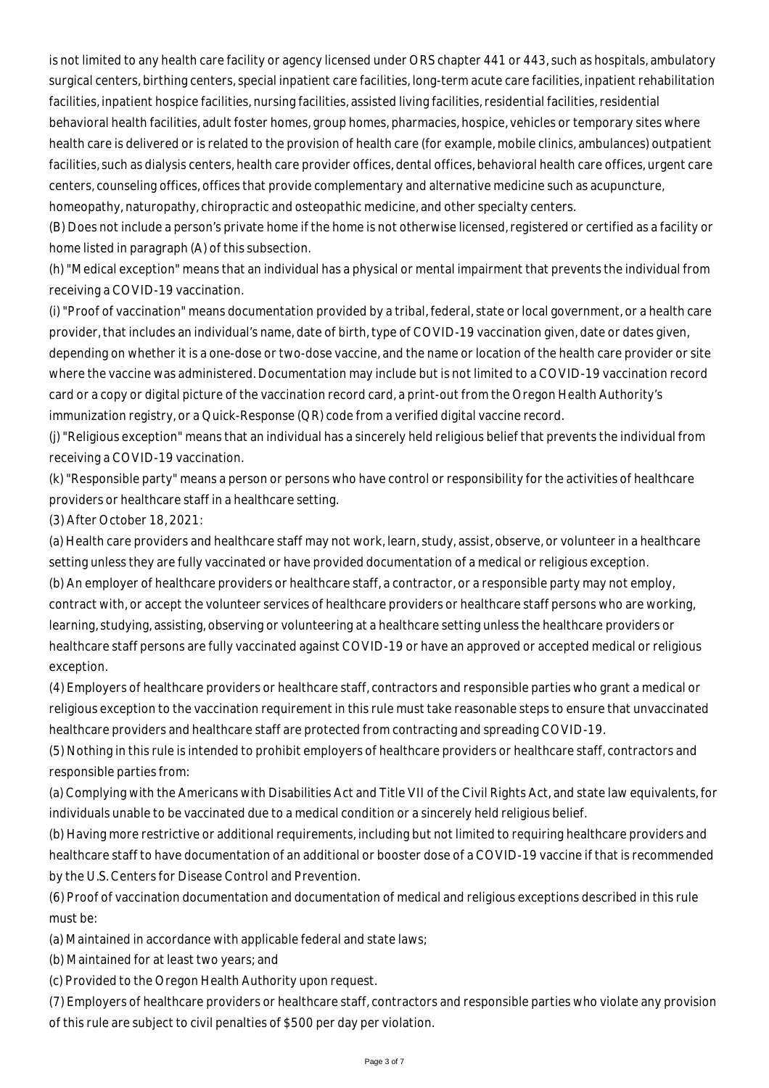is not limited to any health care facility or agency licensed under ORS chapter 441 or 443, such as hospitals, ambulatory surgical centers, birthing centers, special inpatient care facilities, long-term acute care facilities, inpatient rehabilitation facilities, inpatient hospice facilities, nursing facilities, assisted living facilities, residential facilities, residential behavioral health facilities, adult foster homes, group homes, pharmacies, hospice, vehicles or temporary sites where health care is delivered or is related to the provision of health care (for example, mobile clinics, ambulances) outpatient facilities, such as dialysis centers, health care provider offices, dental offices, behavioral health care offices, urgent care centers, counseling offices, offices that provide complementary and alternative medicine such as acupuncture, homeopathy, naturopathy, chiropractic and osteopathic medicine, and other specialty centers.

(B) Does not include a person's private home if the home is not otherwise licensed, registered or certified as a facility or home listed in paragraph (A) of this subsection.

(h) "Medical exception" means that an individual has a physical or mental impairment that prevents the individual from receiving a COVID-19 vaccination.

(i) "Proof of vaccination" means documentation provided by a tribal, federal, state or local government, or a health care provider, that includes an individual's name, date of birth, type of COVID-19 vaccination given, date or dates given, depending on whether it is a one-dose or two-dose vaccine, and the name or location of the health care provider or site where the vaccine was administered. Documentation may include but is not limited to a COVID-19 vaccination record card or a copy or digital picture of the vaccination record card, a print-out from the Oregon Health Authority's immunization registry, or a Quick-Response (QR) code from a verified digital vaccine record.

(j) "Religious exception" means that an individual has a sincerely held religious belief that prevents the individual from receiving a COVID-19 vaccination.

(k) "Responsible party" means a person or persons who have control or responsibility for the activities of healthcare providers or healthcare staff in a healthcare setting.

(3) After October 18, 2021:

(a) Health care providers and healthcare staff may not work, learn, study, assist, observe, or volunteer in a healthcare setting unless they are fully vaccinated or have provided documentation of a medical or religious exception. (b) An employer of healthcare providers or healthcare staff, a contractor, or a responsible party may not employ,

contract with, or accept the volunteer services of healthcare providers or healthcare staff persons who are working, learning, studying, assisting, observing or volunteering at a healthcare setting unless the healthcare providers or healthcare staff persons are fully vaccinated against COVID-19 or have an approved or accepted medical or religious exception.

(4) Employers of healthcare providers or healthcare staff, contractors and responsible parties who grant a medical or religious exception to the vaccination requirement in this rule must take reasonable steps to ensure that unvaccinated healthcare providers and healthcare staff are protected from contracting and spreading COVID-19.

(5) Nothing in this rule is intended to prohibit employers of healthcare providers or healthcare staff, contractors and responsible parties from:

(a) Complying with the Americans with Disabilities Act and Title VII of the Civil Rights Act, and state law equivalents, for individuals unable to be vaccinated due to a medical condition or a sincerely held religious belief.

(b) Having more restrictive or additional requirements, including but not limited to requiring healthcare providers and healthcare staff to have documentation of an additional or booster dose of a COVID-19 vaccine if that is recommended by the U.S. Centers for Disease Control and Prevention.

(6) Proof of vaccination documentation and documentation of medical and religious exceptions described in this rule must be:

(a) Maintained in accordance with applicable federal and state laws;

(b) Maintained for at least two years; and

(c) Provided to the Oregon Health Authority upon request.

(7) Employers of healthcare providers or healthcare staff, contractors and responsible parties who violate any provision of this rule are subject to civil penalties of \$500 per day per violation.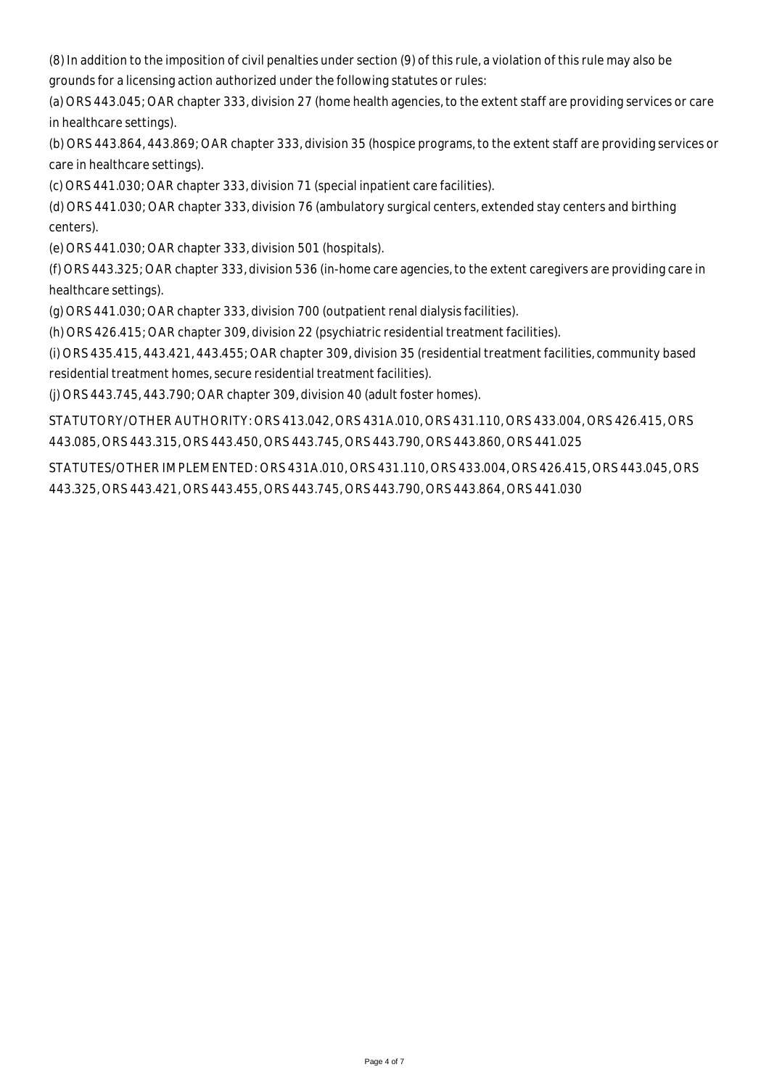(8) In addition to the imposition of civil penalties under section (9) of this rule, a violation of this rule may also be grounds for a licensing action authorized under the following statutes or rules:

(a) ORS 443.045; OAR chapter 333, division 27 (home health agencies, to the extent staff are providing services or care in healthcare settings).

(b) ORS 443.864, 443.869; OAR chapter 333, division 35 (hospice programs, to the extent staff are providing services or care in healthcare settings).

(c) ORS 441.030; OAR chapter 333, division 71 (special inpatient care facilities).

(d) ORS 441.030; OAR chapter 333, division 76 (ambulatory surgical centers, extended stay centers and birthing centers).

(e) ORS 441.030; OAR chapter 333, division 501 (hospitals).

(f) ORS 443.325; OAR chapter 333, division 536 (in-home care agencies, to the extent caregivers are providing care in healthcare settings).

(g) ORS 441.030; OAR chapter 333, division 700 (outpatient renal dialysis facilities).

(h) ORS 426.415; OAR chapter 309, division 22 (psychiatric residential treatment facilities).

(i) ORS 435.415, 443.421, 443.455; OAR chapter 309, division 35 (residential treatment facilities, community based residential treatment homes, secure residential treatment facilities).

(j) ORS 443.745, 443.790; OAR chapter 309, division 40 (adult foster homes).

STATUTORY/OTHER AUTHORITY: ORS 413.042, ORS 431A.010, ORS 431.110, ORS 433.004, ORS 426.415, ORS 443.085, ORS 443.315, ORS 443.450, ORS 443.745, ORS 443.790, ORS 443.860, ORS 441.025

STATUTES/OTHER IMPLEMENTED: ORS 431A.010, ORS 431.110, ORS 433.004, ORS 426.415, ORS 443.045, ORS 443.325, ORS 443.421, ORS 443.455, ORS 443.745, ORS 443.790, ORS 443.864, ORS 441.030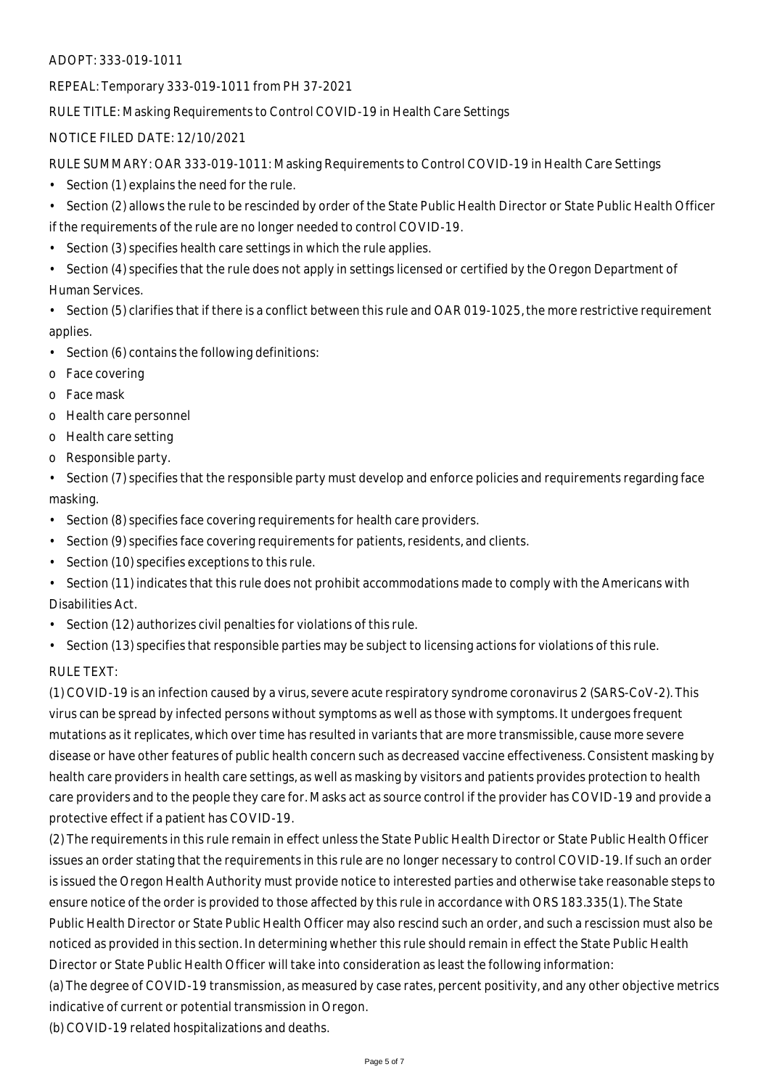#### ADOPT: 333-019-1011

REPEAL: Temporary 333-019-1011 from PH 37-2021

RULE TITLE: Masking Requirements to Control COVID-19 in Health Care Settings

### NOTICE FILED DATE: 12/10/2021

RULE SUMMARY: OAR 333-019-1011: Masking Requirements to Control COVID-19 in Health Care Settings

- Section (1) explains the need for the rule.
- Section (2) allows the rule to be rescinded by order of the State Public Health Director or State Public Health Officer if the requirements of the rule are no longer needed to control COVID-19.
- Section (3) specifies health care settings in which the rule applies.
- Section (4) specifies that the rule does not apply in settings licensed or certified by the Oregon Department of Human Services.

• Section (5) clarifies that if there is a conflict between this rule and OAR 019-1025, the more restrictive requirement applies.

- Section (6) contains the following definitions:
- o Face covering
- o Face mask
- o Health care personnel
- o Health care setting
- o Responsible party.

• Section (7) specifies that the responsible party must develop and enforce policies and requirements regarding face masking.

- Section (8) specifies face covering requirements for health care providers.
- Section (9) specifies face covering requirements for patients, residents, and clients.
- Section (10) specifies exceptions to this rule.
- Section (11) indicates that this rule does not prohibit accommodations made to comply with the Americans with Disabilities Act.
- Section (12) authorizes civil penalties for violations of this rule.
- Section (13) specifies that responsible parties may be subject to licensing actions for violations of this rule.

## RULE TEXT:

(1) COVID-19 is an infection caused by a virus, severe acute respiratory syndrome coronavirus 2 (SARS-CoV-2). This virus can be spread by infected persons without symptoms as well as those with symptoms. It undergoes frequent mutations as it replicates, which over time has resulted in variants that are more transmissible, cause more severe disease or have other features of public health concern such as decreased vaccine effectiveness. Consistent masking by health care providers in health care settings, as well as masking by visitors and patients provides protection to health care providers and to the people they care for. Masks act as source control if the provider has COVID-19 and provide a protective effect if a patient has COVID-19.

(2) The requirements in this rule remain in effect unless the State Public Health Director or State Public Health Officer issues an order stating that the requirements in this rule are no longer necessary to control COVID-19. If such an order is issued the Oregon Health Authority must provide notice to interested parties and otherwise take reasonable steps to ensure notice of the order is provided to those affected by this rule in accordance with ORS 183.335(1). The State Public Health Director or State Public Health Officer may also rescind such an order, and such a rescission must also be noticed as provided in this section. In determining whether this rule should remain in effect the State Public Health Director or State Public Health Officer will take into consideration as least the following information:

(a) The degree of COVID-19 transmission, as measured by case rates, percent positivity, and any other objective metrics indicative of current or potential transmission in Oregon.

(b) COVID-19 related hospitalizations and deaths.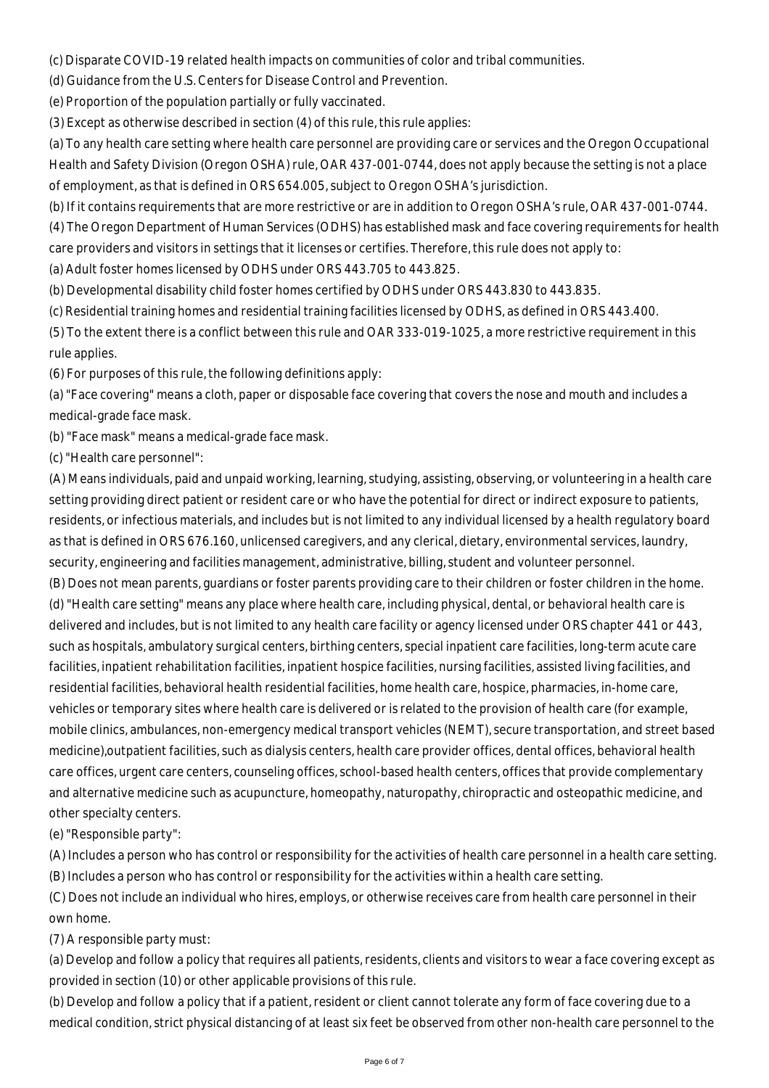(c) Disparate COVID-19 related health impacts on communities of color and tribal communities.

(d) Guidance from the U.S. Centers for Disease Control and Prevention.

(e) Proportion of the population partially or fully vaccinated.

(3) Except as otherwise described in section (4) of this rule, this rule applies:

(a) To any health care setting where health care personnel are providing care or services and the Oregon Occupational Health and Safety Division (Oregon OSHA) rule, OAR 437-001-0744, does not apply because the setting is not a place of employment, as that is defined in ORS 654.005, subject to Oregon OSHA's jurisdiction.

(b) If it contains requirements that are more restrictive or are in addition to Oregon OSHA's rule, OAR 437-001-0744.

(4) The Oregon Department of Human Services (ODHS) has established mask and face covering requirements for health care providers and visitors in settings that it licenses or certifies. Therefore, this rule does not apply to:

(a) Adult foster homes licensed by ODHS under ORS 443.705 to 443.825.

(b) Developmental disability child foster homes certified by ODHS under ORS 443.830 to 443.835.

(c) Residential training homes and residential training facilities licensed by ODHS, as defined in ORS 443.400.

(5) To the extent there is a conflict between this rule and OAR 333-019-1025, a more restrictive requirement in this rule applies.

(6) For purposes of this rule, the following definitions apply:

(a) "Face covering" means a cloth, paper or disposable face covering that covers the nose and mouth and includes a medical-grade face mask.

(b) "Face mask" means a medical-grade face mask.

(c) "Health care personnel":

(A) Means individuals, paid and unpaid working, learning, studying, assisting, observing, or volunteering in a health care setting providing direct patient or resident care or who have the potential for direct or indirect exposure to patients, residents, or infectious materials, and includes but is not limited to any individual licensed by a health regulatory board as that is defined in ORS 676.160, unlicensed caregivers, and any clerical, dietary, environmental services, laundry, security, engineering and facilities management, administrative, billing, student and volunteer personnel.

(B) Does not mean parents, guardians or foster parents providing care to their children or foster children in the home. (d) "Health care setting" means any place where health care, including physical, dental, or behavioral health care is delivered and includes, but is not limited to any health care facility or agency licensed under ORS chapter 441 or 443, such as hospitals, ambulatory surgical centers, birthing centers, special inpatient care facilities, long-term acute care facilities, inpatient rehabilitation facilities, inpatient hospice facilities, nursing facilities, assisted living facilities, and residential facilities, behavioral health residential facilities, home health care, hospice, pharmacies, in-home care, vehicles or temporary sites where health care is delivered or is related to the provision of health care (for example, mobile clinics, ambulances, non-emergency medical transport vehicles (NEMT), secure transportation, and street based medicine),outpatient facilities, such as dialysis centers, health care provider offices, dental offices, behavioral health care offices, urgent care centers, counseling offices, school-based health centers, offices that provide complementary and alternative medicine such as acupuncture, homeopathy, naturopathy, chiropractic and osteopathic medicine, and other specialty centers.

(e) "Responsible party":

(A) Includes a person who has control or responsibility for the activities of health care personnel in a health care setting. (B) Includes a person who has control or responsibility for the activities within a health care setting.

(C) Does not include an individual who hires, employs, or otherwise receives care from health care personnel in their own home.

(7) A responsible party must:

(a) Develop and follow a policy that requires all patients, residents, clients and visitors to wear a face covering except as provided in section (10) or other applicable provisions of this rule.

(b) Develop and follow a policy that if a patient, resident or client cannot tolerate any form of face covering due to a medical condition, strict physical distancing of at least six feet be observed from other non-health care personnel to the